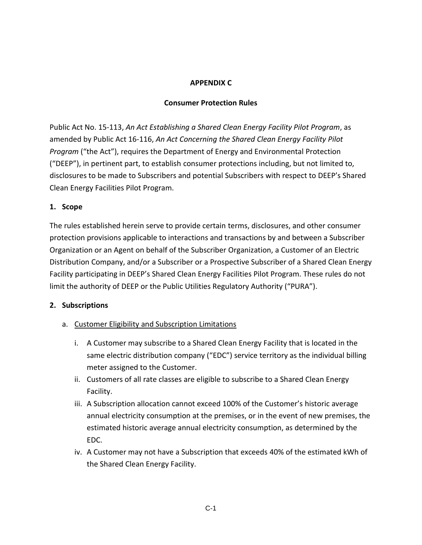#### **APPENDIX C**

#### **Consumer Protection Rules**

Public Act No. 15-113, *An Act Establishing a Shared Clean Energy Facility Pilot Program*, as amended by Public Act 16-116, *An Act Concerning the Shared Clean Energy Facility Pilot Program* ("the Act"), requires the Department of Energy and Environmental Protection ("DEEP"), in pertinent part, to establish consumer protections including, but not limited to, disclosures to be made to Subscribers and potential Subscribers with respect to DEEP's Shared Clean Energy Facilities Pilot Program.

#### **1. Scope**

The rules established herein serve to provide certain terms, disclosures, and other consumer protection provisions applicable to interactions and transactions by and between a Subscriber Organization or an Agent on behalf of the Subscriber Organization, a Customer of an Electric Distribution Company, and/or a Subscriber or a Prospective Subscriber of a Shared Clean Energy Facility participating in DEEP's Shared Clean Energy Facilities Pilot Program. These rules do not limit the authority of DEEP or the Public Utilities Regulatory Authority ("PURA").

## **2. Subscriptions**

- a. Customer Eligibility and Subscription Limitations
	- i. A Customer may subscribe to a Shared Clean Energy Facility that is located in the same electric distribution company ("EDC") service territory as the individual billing meter assigned to the Customer.
	- ii. Customers of all rate classes are eligible to subscribe to a Shared Clean Energy Facility.
	- iii. A Subscription allocation cannot exceed 100% of the Customer's historic average annual electricity consumption at the premises, or in the event of new premises, the estimated historic average annual electricity consumption, as determined by the EDC.
	- iv. A Customer may not have a Subscription that exceeds 40% of the estimated kWh of the Shared Clean Energy Facility.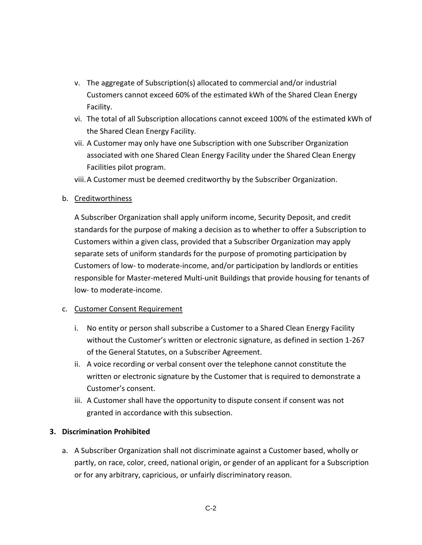- v. The aggregate of Subscription(s) allocated to commercial and/or industrial Customers cannot exceed 60% of the estimated kWh of the Shared Clean Energy Facility.
- vi. The total of all Subscription allocations cannot exceed 100% of the estimated kWh of the Shared Clean Energy Facility.
- vii. A Customer may only have one Subscription with one Subscriber Organization associated with one Shared Clean Energy Facility under the Shared Clean Energy Facilities pilot program.
- viii.A Customer must be deemed creditworthy by the Subscriber Organization.

#### b. Creditworthiness

A Subscriber Organization shall apply uniform income, Security Deposit, and credit standards for the purpose of making a decision as to whether to offer a Subscription to Customers within a given class, provided that a Subscriber Organization may apply separate sets of uniform standards for the purpose of promoting participation by Customers of low- to moderate-income, and/or participation by landlords or entities responsible for Master-metered Multi-unit Buildings that provide housing for tenants of low- to moderate-income.

#### c. Customer Consent Requirement

- i. No entity or person shall subscribe a Customer to a Shared Clean Energy Facility without the Customer's written or electronic signature, as defined in section 1-267 of the General Statutes, on a Subscriber Agreement.
- ii. A voice recording or verbal consent over the telephone cannot constitute the written or electronic signature by the Customer that is required to demonstrate a Customer's consent.
- iii. A Customer shall have the opportunity to dispute consent if consent was not granted in accordance with this subsection.

## **3. Discrimination Prohibited**

a. A Subscriber Organization shall not discriminate against a Customer based, wholly or partly, on race, color, creed, national origin, or gender of an applicant for a Subscription or for any arbitrary, capricious, or unfairly discriminatory reason.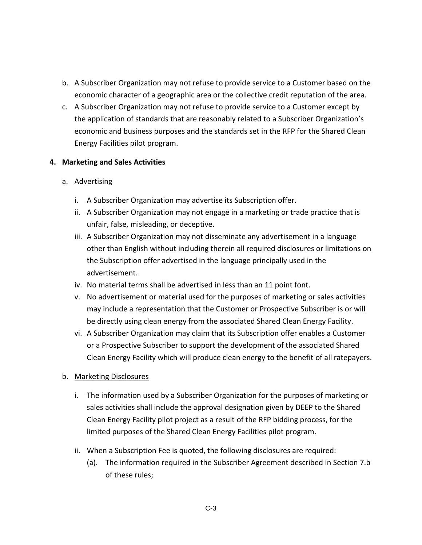- b. A Subscriber Organization may not refuse to provide service to a Customer based on the economic character of a geographic area or the collective credit reputation of the area.
- c. A Subscriber Organization may not refuse to provide service to a Customer except by the application of standards that are reasonably related to a Subscriber Organization's economic and business purposes and the standards set in the RFP for the Shared Clean Energy Facilities pilot program.

#### **4. Marketing and Sales Activities**

## a. Advertising

- i. A Subscriber Organization may advertise its Subscription offer.
- ii. A Subscriber Organization may not engage in a marketing or trade practice that is unfair, false, misleading, or deceptive.
- iii. A Subscriber Organization may not disseminate any advertisement in a language other than English without including therein all required disclosures or limitations on the Subscription offer advertised in the language principally used in the advertisement.
- iv. No material terms shall be advertised in less than an 11 point font.
- v. No advertisement or material used for the purposes of marketing or sales activities may include a representation that the Customer or Prospective Subscriber is or will be directly using clean energy from the associated Shared Clean Energy Facility.
- vi. A Subscriber Organization may claim that its Subscription offer enables a Customer or a Prospective Subscriber to support the development of the associated Shared Clean Energy Facility which will produce clean energy to the benefit of all ratepayers.

#### b. Marketing Disclosures

- i. The information used by a Subscriber Organization for the purposes of marketing or sales activities shall include the approval designation given by DEEP to the Shared Clean Energy Facility pilot project as a result of the RFP bidding process, for the limited purposes of the Shared Clean Energy Facilities pilot program.
- ii. When a Subscription Fee is quoted, the following disclosures are required:
	- (a). The information required in the Subscriber Agreement described in Section 7.b of these rules;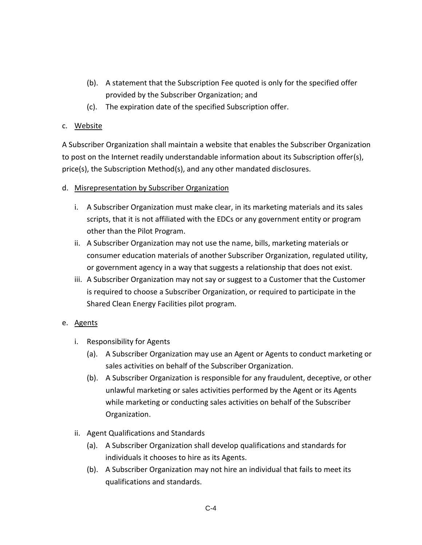- (b). A statement that the Subscription Fee quoted is only for the specified offer provided by the Subscriber Organization; and
- (c). The expiration date of the specified Subscription offer.

#### c. Website

A Subscriber Organization shall maintain a website that enables the Subscriber Organization to post on the Internet readily understandable information about its Subscription offer(s), price(s), the Subscription Method(s), and any other mandated disclosures.

#### d. Misrepresentation by Subscriber Organization

- i. A Subscriber Organization must make clear, in its marketing materials and its sales scripts, that it is not affiliated with the EDCs or any government entity or program other than the Pilot Program.
- ii. A Subscriber Organization may not use the name, bills, marketing materials or consumer education materials of another Subscriber Organization, regulated utility, or government agency in a way that suggests a relationship that does not exist.
- iii. A Subscriber Organization may not say or suggest to a Customer that the Customer is required to choose a Subscriber Organization, or required to participate in the Shared Clean Energy Facilities pilot program.

## e. Agents

- i. Responsibility for Agents
	- (a). A Subscriber Organization may use an Agent or Agents to conduct marketing or sales activities on behalf of the Subscriber Organization.
	- (b). A Subscriber Organization is responsible for any fraudulent, deceptive, or other unlawful marketing or sales activities performed by the Agent or its Agents while marketing or conducting sales activities on behalf of the Subscriber Organization.
- ii. Agent Qualifications and Standards
	- (a). A Subscriber Organization shall develop qualifications and standards for individuals it chooses to hire as its Agents.
	- (b). A Subscriber Organization may not hire an individual that fails to meet its qualifications and standards.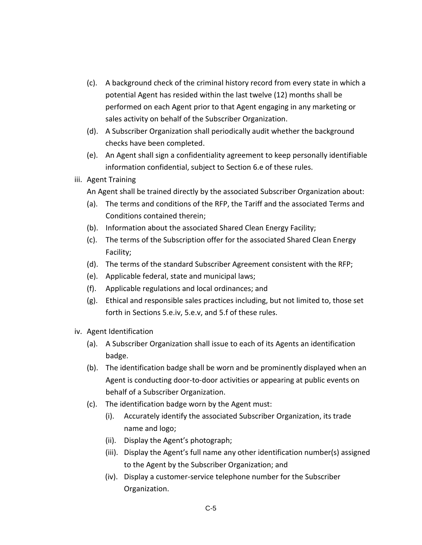- (c). A background check of the criminal history record from every state in which a potential Agent has resided within the last twelve (12) months shall be performed on each Agent prior to that Agent engaging in any marketing or sales activity on behalf of the Subscriber Organization.
- (d). A Subscriber Organization shall periodically audit whether the background checks have been completed.
- (e). An Agent shall sign a confidentiality agreement to keep personally identifiable information confidential, subject to Section 6.e of these rules.
- iii. Agent Training
	- An Agent shall be trained directly by the associated Subscriber Organization about:
	- (a). The terms and conditions of the RFP, the Tariff and the associated Terms and Conditions contained therein;
	- (b). Information about the associated Shared Clean Energy Facility;
	- (c). The terms of the Subscription offer for the associated Shared Clean Energy Facility;
	- (d). The terms of the standard Subscriber Agreement consistent with the RFP;
	- (e). Applicable federal, state and municipal laws;
	- (f). Applicable regulations and local ordinances; and
	- (g). Ethical and responsible sales practices including, but not limited to, those set forth in Sections 5.e.iv, 5.e.v, and 5.f of these rules.
- iv. Agent Identification
	- (a). A Subscriber Organization shall issue to each of its Agents an identification badge.
	- (b). The identification badge shall be worn and be prominently displayed when an Agent is conducting door-to-door activities or appearing at public events on behalf of a Subscriber Organization.
	- (c). The identification badge worn by the Agent must:
		- (i). Accurately identify the associated Subscriber Organization, its trade name and logo;
		- (ii). Display the Agent's photograph;
		- (iii). Display the Agent's full name any other identification number(s) assigned to the Agent by the Subscriber Organization; and
		- (iv). Display a customer-service telephone number for the Subscriber Organization.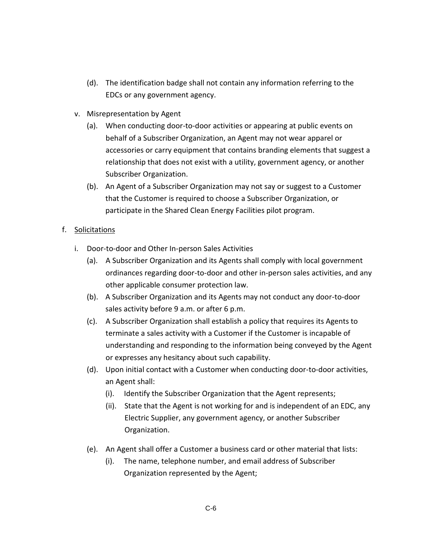- (d). The identification badge shall not contain any information referring to the EDCs or any government agency.
- v. Misrepresentation by Agent
	- (a). When conducting door-to-door activities or appearing at public events on behalf of a Subscriber Organization, an Agent may not wear apparel or accessories or carry equipment that contains branding elements that suggest a relationship that does not exist with a utility, government agency, or another Subscriber Organization.
	- (b). An Agent of a Subscriber Organization may not say or suggest to a Customer that the Customer is required to choose a Subscriber Organization, or participate in the Shared Clean Energy Facilities pilot program.

# f. Solicitations

- i. Door-to-door and Other In-person Sales Activities
	- (a). A Subscriber Organization and its Agents shall comply with local government ordinances regarding door-to-door and other in-person sales activities, and any other applicable consumer protection law.
	- (b). A Subscriber Organization and its Agents may not conduct any door-to-door sales activity before 9 a.m. or after 6 p.m.
	- (c). A Subscriber Organization shall establish a policy that requires its Agents to terminate a sales activity with a Customer if the Customer is incapable of understanding and responding to the information being conveyed by the Agent or expresses any hesitancy about such capability.
	- (d). Upon initial contact with a Customer when conducting door-to-door activities, an Agent shall:
		- (i). Identify the Subscriber Organization that the Agent represents;
		- (ii). State that the Agent is not working for and is independent of an EDC, any Electric Supplier, any government agency, or another Subscriber Organization.
	- (e). An Agent shall offer a Customer a business card or other material that lists:
		- (i). The name, telephone number, and email address of Subscriber Organization represented by the Agent;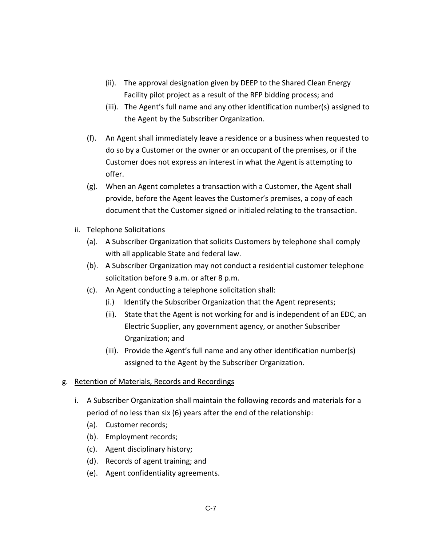- (ii). The approval designation given by DEEP to the Shared Clean Energy Facility pilot project as a result of the RFP bidding process; and
- (iii). The Agent's full name and any other identification number(s) assigned to the Agent by the Subscriber Organization.
- (f). An Agent shall immediately leave a residence or a business when requested to do so by a Customer or the owner or an occupant of the premises, or if the Customer does not express an interest in what the Agent is attempting to offer.
- (g). When an Agent completes a transaction with a Customer, the Agent shall provide, before the Agent leaves the Customer's premises, a copy of each document that the Customer signed or initialed relating to the transaction.
- ii. Telephone Solicitations
	- (a). A Subscriber Organization that solicits Customers by telephone shall comply with all applicable State and federal law.
	- (b). A Subscriber Organization may not conduct a residential customer telephone solicitation before 9 a.m. or after 8 p.m.
	- (c). An Agent conducting a telephone solicitation shall:
		- (i.) Identify the Subscriber Organization that the Agent represents;
		- (ii). State that the Agent is not working for and is independent of an EDC, an Electric Supplier, any government agency, or another Subscriber Organization; and
		- (iii). Provide the Agent's full name and any other identification number(s) assigned to the Agent by the Subscriber Organization.

## g. Retention of Materials, Records and Recordings

- i. A Subscriber Organization shall maintain the following records and materials for a period of no less than six (6) years after the end of the relationship:
	- (a). Customer records;
	- (b). Employment records;
	- (c). Agent disciplinary history;
	- (d). Records of agent training; and
	- (e). Agent confidentiality agreements.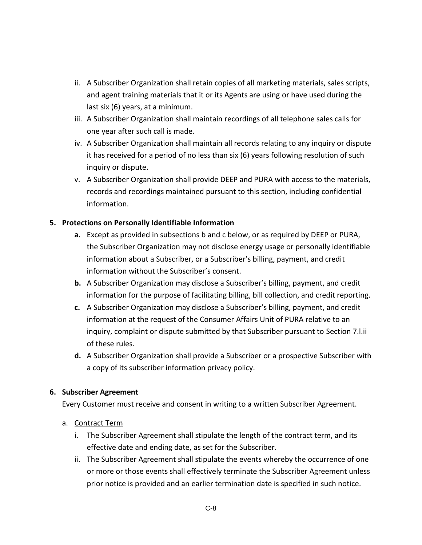- ii. A Subscriber Organization shall retain copies of all marketing materials, sales scripts, and agent training materials that it or its Agents are using or have used during the last six (6) years, at a minimum.
- iii. A Subscriber Organization shall maintain recordings of all telephone sales calls for one year after such call is made.
- iv. A Subscriber Organization shall maintain all records relating to any inquiry or dispute it has received for a period of no less than six (6) years following resolution of such inquiry or dispute.
- v. A Subscriber Organization shall provide DEEP and PURA with access to the materials, records and recordings maintained pursuant to this section, including confidential information.

## **5. Protections on Personally Identifiable Information**

- **a.** Except as provided in subsections b and c below, or as required by DEEP or PURA, the Subscriber Organization may not disclose energy usage or personally identifiable information about a Subscriber, or a Subscriber's billing, payment, and credit information without the Subscriber's consent.
- **b.** A Subscriber Organization may disclose a Subscriber's billing, payment, and credit information for the purpose of facilitating billing, bill collection, and credit reporting.
- **c.** A Subscriber Organization may disclose a Subscriber's billing, payment, and credit information at the request of the Consumer Affairs Unit of PURA relative to an inquiry, complaint or dispute submitted by that Subscriber pursuant to Section 7.l.ii of these rules.
- **d.** A Subscriber Organization shall provide a Subscriber or a prospective Subscriber with a copy of its subscriber information privacy policy.

#### **6. Subscriber Agreement**

Every Customer must receive and consent in writing to a written Subscriber Agreement.

#### a. Contract Term

- i. The Subscriber Agreement shall stipulate the length of the contract term, and its effective date and ending date, as set for the Subscriber.
- ii. The Subscriber Agreement shall stipulate the events whereby the occurrence of one or more or those events shall effectively terminate the Subscriber Agreement unless prior notice is provided and an earlier termination date is specified in such notice.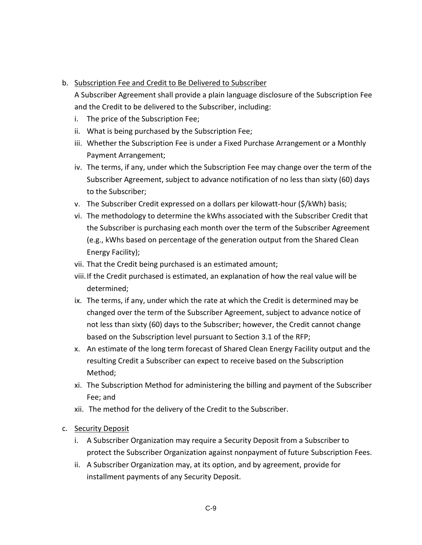## b. Subscription Fee and Credit to Be Delivered to Subscriber

A Subscriber Agreement shall provide a plain language disclosure of the Subscription Fee and the Credit to be delivered to the Subscriber, including:

- i. The price of the Subscription Fee;
- ii. What is being purchased by the Subscription Fee;
- iii. Whether the Subscription Fee is under a Fixed Purchase Arrangement or a Monthly Payment Arrangement;
- iv. The terms, if any, under which the Subscription Fee may change over the term of the Subscriber Agreement, subject to advance notification of no less than sixty (60) days to the Subscriber;
- v. The Subscriber Credit expressed on a dollars per kilowatt-hour (\$/kWh) basis;
- vi. The methodology to determine the kWhs associated with the Subscriber Credit that the Subscriber is purchasing each month over the term of the Subscriber Agreement (e.g., kWhs based on percentage of the generation output from the Shared Clean Energy Facility);
- vii. That the Credit being purchased is an estimated amount;
- viii.If the Credit purchased is estimated, an explanation of how the real value will be determined;
- ix. The terms, if any, under which the rate at which the Credit is determined may be changed over the term of the Subscriber Agreement, subject to advance notice of not less than sixty (60) days to the Subscriber; however, the Credit cannot change based on the Subscription level pursuant to Section 3.1 of the RFP;
- x. An estimate of the long term forecast of Shared Clean Energy Facility output and the resulting Credit a Subscriber can expect to receive based on the Subscription Method;
- xi. The Subscription Method for administering the billing and payment of the Subscriber Fee; and
- xii. The method for the delivery of the Credit to the Subscriber.

## c. Security Deposit

- i. A Subscriber Organization may require a Security Deposit from a Subscriber to protect the Subscriber Organization against nonpayment of future Subscription Fees.
- ii. A Subscriber Organization may, at its option, and by agreement, provide for installment payments of any Security Deposit.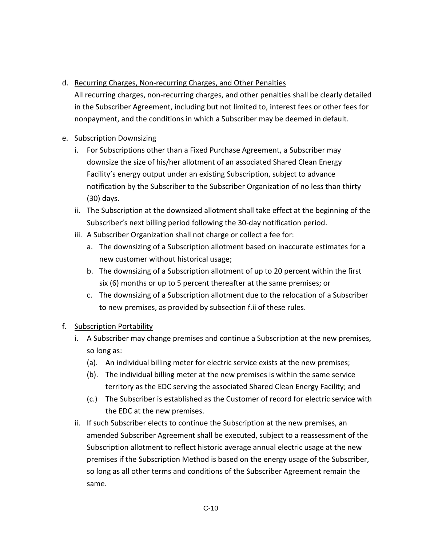# d. Recurring Charges, Non-recurring Charges, and Other Penalties

All recurring charges, non-recurring charges, and other penalties shall be clearly detailed in the Subscriber Agreement, including but not limited to, interest fees or other fees for nonpayment, and the conditions in which a Subscriber may be deemed in default.

## e. Subscription Downsizing

- i. For Subscriptions other than a Fixed Purchase Agreement, a Subscriber may downsize the size of his/her allotment of an associated Shared Clean Energy Facility's energy output under an existing Subscription, subject to advance notification by the Subscriber to the Subscriber Organization of no less than thirty (30) days.
- ii. The Subscription at the downsized allotment shall take effect at the beginning of the Subscriber's next billing period following the 30-day notification period.
- iii. A Subscriber Organization shall not charge or collect a fee for:
	- a. The downsizing of a Subscription allotment based on inaccurate estimates for a new customer without historical usage;
	- b. The downsizing of a Subscription allotment of up to 20 percent within the first six (6) months or up to 5 percent thereafter at the same premises; or
	- c. The downsizing of a Subscription allotment due to the relocation of a Subscriber to new premises, as provided by subsection f.ii of these rules.

# f. Subscription Portability

- i. A Subscriber may change premises and continue a Subscription at the new premises, so long as:
	- (a). An individual billing meter for electric service exists at the new premises;
	- (b). The individual billing meter at the new premises is within the same service territory as the EDC serving the associated Shared Clean Energy Facility; and
	- (c.) The Subscriber is established as the Customer of record for electric service with the EDC at the new premises.
- ii. If such Subscriber elects to continue the Subscription at the new premises, an amended Subscriber Agreement shall be executed, subject to a reassessment of the Subscription allotment to reflect historic average annual electric usage at the new premises if the Subscription Method is based on the energy usage of the Subscriber, so long as all other terms and conditions of the Subscriber Agreement remain the same.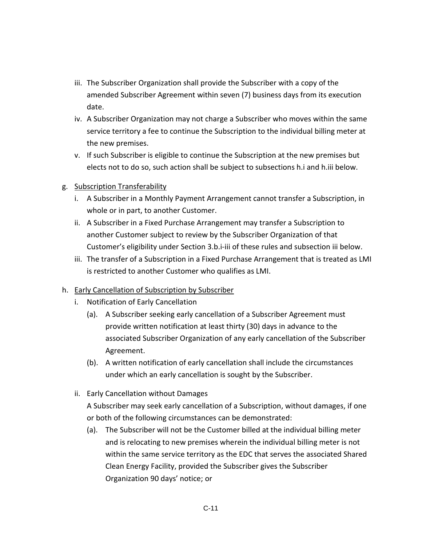- iii. The Subscriber Organization shall provide the Subscriber with a copy of the amended Subscriber Agreement within seven (7) business days from its execution date.
- iv. A Subscriber Organization may not charge a Subscriber who moves within the same service territory a fee to continue the Subscription to the individual billing meter at the new premises.
- v. If such Subscriber is eligible to continue the Subscription at the new premises but elects not to do so, such action shall be subject to subsections h.i and h.iii below.

## g. Subscription Transferability

- i. A Subscriber in a Monthly Payment Arrangement cannot transfer a Subscription, in whole or in part, to another Customer.
- ii. A Subscriber in a Fixed Purchase Arrangement may transfer a Subscription to another Customer subject to review by the Subscriber Organization of that Customer's eligibility under Section 3.b.i-iii of these rules and subsection iii below.
- iii. The transfer of a Subscription in a Fixed Purchase Arrangement that is treated as LMI is restricted to another Customer who qualifies as LMI.

## h. Early Cancellation of Subscription by Subscriber

- i. Notification of Early Cancellation
	- (a). A Subscriber seeking early cancellation of a Subscriber Agreement must provide written notification at least thirty (30) days in advance to the associated Subscriber Organization of any early cancellation of the Subscriber Agreement.
	- (b). A written notification of early cancellation shall include the circumstances under which an early cancellation is sought by the Subscriber.
- ii. Early Cancellation without Damages

A Subscriber may seek early cancellation of a Subscription, without damages, if one or both of the following circumstances can be demonstrated:

(a). The Subscriber will not be the Customer billed at the individual billing meter and is relocating to new premises wherein the individual billing meter is not within the same service territory as the EDC that serves the associated Shared Clean Energy Facility, provided the Subscriber gives the Subscriber Organization 90 days' notice; or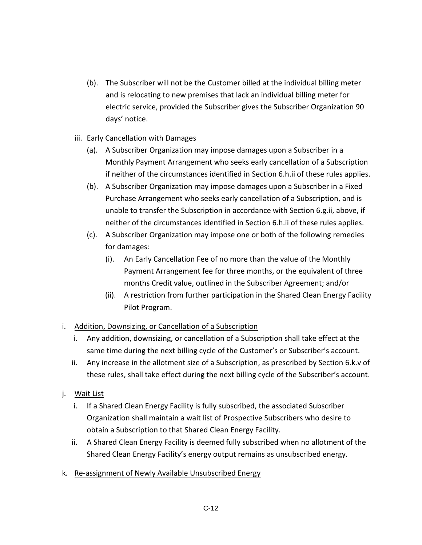- (b). The Subscriber will not be the Customer billed at the individual billing meter and is relocating to new premises that lack an individual billing meter for electric service, provided the Subscriber gives the Subscriber Organization 90 days' notice.
- iii. Early Cancellation with Damages
	- (a). A Subscriber Organization may impose damages upon a Subscriber in a Monthly Payment Arrangement who seeks early cancellation of a Subscription if neither of the circumstances identified in Section 6.h.ii of these rules applies.
	- (b). A Subscriber Organization may impose damages upon a Subscriber in a Fixed Purchase Arrangement who seeks early cancellation of a Subscription, and is unable to transfer the Subscription in accordance with Section 6.g.ii, above, if neither of the circumstances identified in Section 6.h.ii of these rules applies.
	- (c). A Subscriber Organization may impose one or both of the following remedies for damages:
		- (i). An Early Cancellation Fee of no more than the value of the Monthly Payment Arrangement fee for three months, or the equivalent of three months Credit value, outlined in the Subscriber Agreement; and/or
		- (ii). A restriction from further participation in the Shared Clean Energy Facility Pilot Program.

## i. Addition, Downsizing, or Cancellation of a Subscription

- i. Any addition, downsizing, or cancellation of a Subscription shall take effect at the same time during the next billing cycle of the Customer's or Subscriber's account.
- ii. Any increase in the allotment size of a Subscription, as prescribed by Section 6.k.v of these rules, shall take effect during the next billing cycle of the Subscriber's account.

# j. Wait List

- i. If a Shared Clean Energy Facility is fully subscribed, the associated Subscriber Organization shall maintain a wait list of Prospective Subscribers who desire to obtain a Subscription to that Shared Clean Energy Facility.
- ii. A Shared Clean Energy Facility is deemed fully subscribed when no allotment of the Shared Clean Energy Facility's energy output remains as unsubscribed energy.
- k. Re-assignment of Newly Available Unsubscribed Energy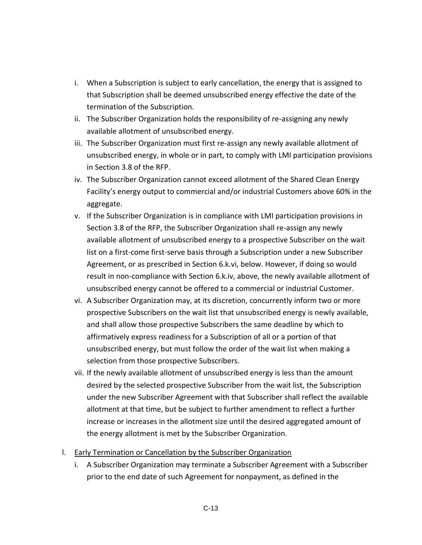- i. When a Subscription is subject to early cancellation, the energy that is assigned to that Subscription shall be deemed unsubscribed energy effective the date of the termination of the Subscription.
- ii. The Subscriber Organization holds the responsibility of re-assigning any newly available allotment of unsubscribed energy.
- iii. The Subscriber Organization must first re-assign any newly available allotment of unsubscribed energy, in whole or in part, to comply with LMI participation provisions in Section 3.8 of the RFP.
- iv. The Subscriber Organization cannot exceed allotment of the Shared Clean Energy Facility's energy output to commercial and/or industrial Customers above 60% in the aggregate.
- v. If the Subscriber Organization is in compliance with LMI participation provisions in Section 3.8 of the RFP, the Subscriber Organization shall re-assign any newly available allotment of unsubscribed energy to a prospective Subscriber on the wait list on a first-come first-serve basis through a Subscription under a new Subscriber Agreement, or as prescribed in Section 6.k.vi, below. However, if doing so would result in non-compliance with Section 6.k.iv, above, the newly available allotment of unsubscribed energy cannot be offered to a commercial or industrial Customer.
- vi. A Subscriber Organization may, at its discretion, concurrently inform two or more prospective Subscribers on the wait list that unsubscribed energy is newly available, and shall allow those prospective Subscribers the same deadline by which to affirmatively express readiness for a Subscription of all or a portion of that unsubscribed energy, but must follow the order of the wait list when making a selection from those prospective Subscribers.
- vii. If the newly available allotment of unsubscribed energy is less than the amount desired by the selected prospective Subscriber from the wait list, the Subscription under the new Subscriber Agreement with that Subscriber shall reflect the available allotment at that time, but be subject to further amendment to reflect a further increase or increases in the allotment size until the desired aggregated amount of the energy allotment is met by the Subscriber Organization.
- l. Early Termination or Cancellation by the Subscriber Organization
	- i. A Subscriber Organization may terminate a Subscriber Agreement with a Subscriber prior to the end date of such Agreement for nonpayment, as defined in the